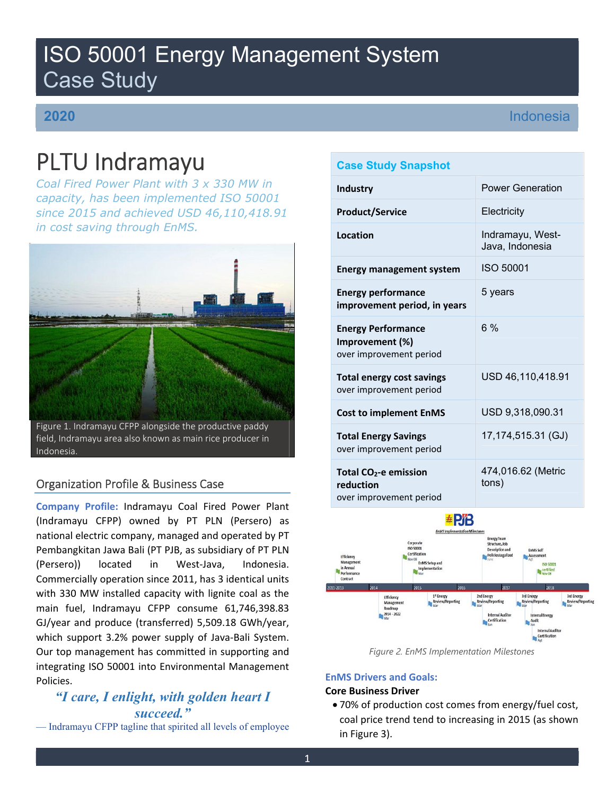# ISO 50001 Energy Management System Case Study

# **2020**

# Indonesia

# PLTU Indramayu

*Coal Fired Power Plant with 3 x 330 MW in capacity, has been implemented ISO 50001 since 2015 and achieved USD 46,110,418.91 in cost saving through EnMS.* 



field, Indramayu area also known as main rice producer in Indonesia.

## Organization Profile & Business Case

**Company Profile:** Indramayu Coal Fired Power Plant (Indramayu CFPP) owned by PT PLN (Persero) as national electric company, managed and operated by PT Pembangkitan Jawa Bali (PT PJB, as subsidiary of PT PLN (Persero)) located in West‐Java, Indonesia. Commercially operation since 2011, has 3 identical units with 330 MW installed capacity with lignite coal as the main fuel, Indramayu CFPP consume 61,746,398.83 GJ/year and produce (transferred) 5,509.18 GWh/year, which support 3.2% power supply of Java‐Bali System. Our top management has committed in supporting and integrating ISO 50001 into Environmental Management Policies.

# *"I care, I enlight, with golden heart I succeed."*

— Indramayu CFPP tagline that spirited all levels of employee

## **Case Study Snapshot**

| <b>Industry</b>                                                         | <b>Power Generation</b>             |
|-------------------------------------------------------------------------|-------------------------------------|
| <b>Product/Service</b>                                                  | Electricity                         |
| Location                                                                | Indramayu, West-<br>Java, Indonesia |
| <b>Energy management system</b>                                         | ISO 50001                           |
| <b>Energy performance</b><br>improvement period, in years               | 5 years                             |
| <b>Energy Performance</b><br>Improvement (%)<br>over improvement period | 6%                                  |
| <b>Total energy cost savings</b><br>over improvement period             | USD 46,110,418.91                   |
| <b>Cost to implement EnMS</b>                                           | USD 9,318,090.31                    |
| <b>Total Energy Savings</b><br>over improvement period                  | 17,174,515.31 (GJ)                  |
| Total $CO2$ -e emission<br>reduction<br>over improvement period         | 474,016.62 (Metric<br>tons)         |



*Figure 2. EnMS Implementation Milestones* 

## **EnMS Drivers and Goals:**

## **Core Business Driver**

 70% of production cost comes from energy/fuel cost, coal price trend tend to increasing in 2015 (as shown in Figure 3).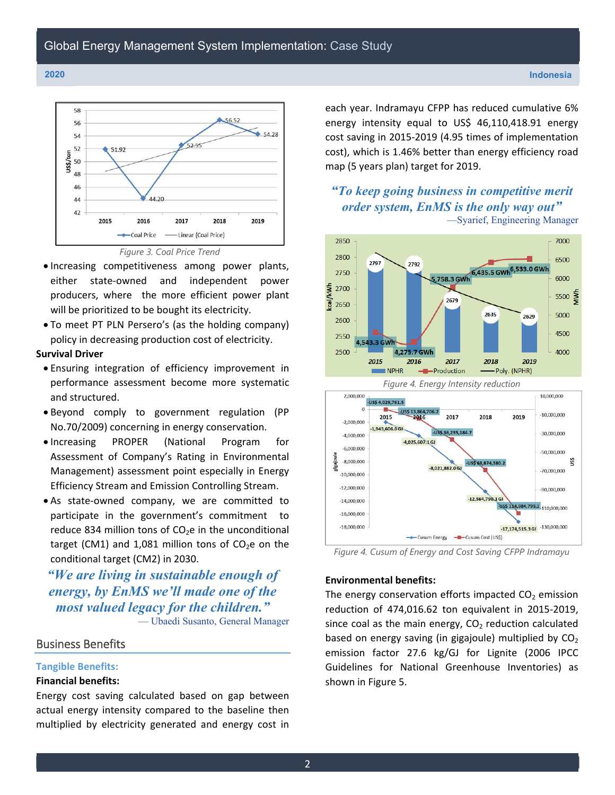



- Increasing competitiveness among power plants, either state‐owned and independent power producers, where the more efficient power plant will be prioritized to be bought its electricity.
- To meet PT PLN Persero's (as the holding company) policy in decreasing production cost of electricity.

### **Survival Driver**

- Ensuring integration of efficiency improvement in performance assessment become more systematic and structured.
- Beyond comply to government regulation (PP No.70/2009) concerning in energy conservation.
- Increasing PROPER (National Program for Assessment of Company's Rating in Environmental Management) assessment point especially in Energy Efficiency Stream and Emission Controlling Stream.
- As state‐owned company, we are committed to participate in the government's commitment to reduce 834 million tons of  $CO<sub>2</sub>e$  in the unconditional target (CM1) and 1,081 million tons of  $CO<sub>2</sub>e$  on the conditional target (CM2) in 2030.

# *"We are living in sustainable enough of energy, by EnMS we'll made one of the most valued legacy for the children."*

— Ubaedi Susanto, General Manager

## Business Benefits

#### **Tangible Benefits:**

#### **Financial benefits:**

Energy cost saving calculated based on gap between actual energy intensity compared to the baseline then multiplied by electricity generated and energy cost in

each year. Indramayu CFPP has reduced cumulative 6% energy intensity equal to US\$ 46,110,418.91 energy cost saving in 2015‐2019 (4.95 times of implementation cost), which is 1.46% better than energy efficiency road map (5 years plan) target for 2019.

## *"To keep going business in competitive merit order system, EnMS is the only way out"*  —Syarief, Engineering Manager



*Figure 4. Cusum of Energy and Cost Saving CFPP Indramayu*

#### **Environmental benefits:**

The energy conservation efforts impacted  $CO<sub>2</sub>$  emission reduction of 474,016.62 ton equivalent in 2015‐2019, since coal as the main energy,  $CO<sub>2</sub>$  reduction calculated based on energy saving (in gigajoule) multiplied by  $CO<sub>2</sub>$ emission factor 27.6 kg/GJ for Lignite (2006 IPCC Guidelines for National Greenhouse Inventories) as shown in Figure 5.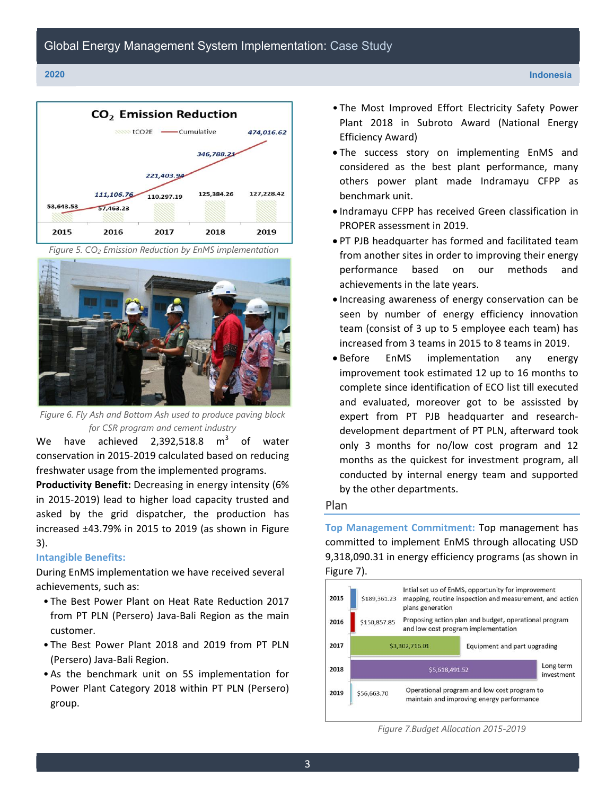





*Figure 6. Fly Ash and Bottom Ash used to produce paving block for CSR program and cement industry* 

We have achieved 2,392,518.8  $m^3$  of water conservation in 2015‐2019 calculated based on reducing freshwater usage from the implemented programs.

**Productivity Benefit:** Decreasing in energy intensity (6% in 2015‐2019) lead to higher load capacity trusted and asked by the grid dispatcher, the production has increased ±43.79% in 2015 to 2019 (as shown in Figure 3).

#### **Intangible Benefits:**

During EnMS implementation we have received several achievements, such as:

- The Best Power Plant on Heat Rate Reduction 2017 from PT PLN (Persero) Java‐Bali Region as the main customer.
- The Best Power Plant 2018 and 2019 from PT PLN (Persero) Java‐Bali Region.
- As the benchmark unit on 5S implementation for Power Plant Category 2018 within PT PLN (Persero) group.
- The Most Improved Effort Electricity Safety Power Plant 2018 in Subroto Award (National Energy Efficiency Award)
- The success story on implementing EnMS and considered as the best plant performance, many others power plant made Indramayu CFPP as benchmark unit.
- Indramayu CFPP has received Green classification in PROPER assessment in 2019.
- PT PJB headquarter has formed and facilitated team from another sites in order to improving their energy performance based on our methods and achievements in the late years.
- Increasing awareness of energy conservation can be seen by number of energy efficiency innovation team (consist of 3 up to 5 employee each team) has increased from 3 teams in 2015 to 8 teams in 2019.
- Before EnMS implementation any energy improvement took estimated 12 up to 16 months to complete since identification of ECO list till executed and evaluated, moreover got to be assissted by expert from PT PJB headquarter and research‐ development department of PT PLN, afterward took only 3 months for no/low cost program and 12 months as the quickest for investment program, all conducted by internal energy team and supported by the other departments.

#### Plan

**Top Management Commitment:** Top management has committed to implement EnMS through allocating USD 9,318,090.31 in energy efficiency programs (as shown in Figure 7).



*Figure 7.Budget Allocation 2015-2019*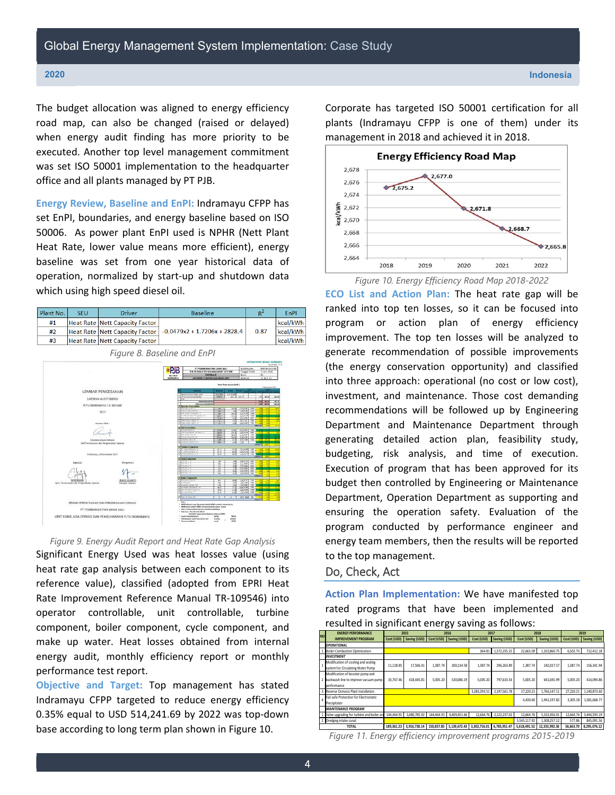The budget allocation was aligned to energy efficiency road map, can also be changed (raised or delayed) when energy audit finding has more priority to be executed. Another top level management commitment was set ISO 50001 implementation to the headquarter office and all plants managed by PT PJB.

**Energy Review, Baseline and EnPI:** Indramayu CFPP has set EnPI, boundaries, and energy baseline based on ISO 50006. As power plant EnPI used is NPHR (Nett Plant Heat Rate, lower value means more efficient), energy baseline was set from one year historical data of operation, normalized by start‐up and shutdown data which using high speed diesel oil.

| Plant No. | <b>SFU</b>                                                    | <b>Driver</b>                                                         | <b>Baseline</b>                                                                                                                                                                                             |                                                                                                                                                             |                                                                                                                                                  |          |  |  |  |  |
|-----------|---------------------------------------------------------------|-----------------------------------------------------------------------|-------------------------------------------------------------------------------------------------------------------------------------------------------------------------------------------------------------|-------------------------------------------------------------------------------------------------------------------------------------------------------------|--------------------------------------------------------------------------------------------------------------------------------------------------|----------|--|--|--|--|
| #1        |                                                               | <b>Heat Rate Nett Capacity Factor</b>                                 |                                                                                                                                                                                                             |                                                                                                                                                             |                                                                                                                                                  | kcal/kWh |  |  |  |  |
| #2        |                                                               | <b>Heat Rate Nett Capacity Factor</b>                                 | $-0.0479x$ 7 + 1.7206x + 2828.4                                                                                                                                                                             |                                                                                                                                                             | 0.87                                                                                                                                             | kcal/kWh |  |  |  |  |
| #3        |                                                               | <b>Heat Rate Nett Capacity Factor</b>                                 |                                                                                                                                                                                                             |                                                                                                                                                             | kcal/kWh                                                                                                                                         |          |  |  |  |  |
|           |                                                               |                                                                       | Figure 8. Baseline and EnPI<br>PT PEMBANGKITAN JAWA BALI<br>RВ<br>PIB INTEGRATED MANAGEMENT SYSTEM<br><b>FORMULIR</b><br><b>UBJ GAM</b><br><b>MORANEEYS!</b><br>LAPORAN EFISICNSI BULANAN UNIT              | <b>Bevisi</b><br><b>Holaman</b>                                                                                                                             | LAPOBAN MPHR USIGBAN INDIAAAANU<br>September 2019<br>No Dokumen<br>FMY04.1-01-18<br>Tanggai Terbit<br>Liuni 2015<br>01<br>: 11 dari 11           |          |  |  |  |  |
|           |                                                               |                                                                       |                                                                                                                                                                                                             | Heat Rate Locces Usit 1                                                                                                                                     | SSegmentum 2016                                                                                                                                  |          |  |  |  |  |
|           |                                                               | LEMBAR PENGESAHAN                                                     | <b>Pierreler</b><br>Gerentse Grina Ontpiet Britis                                                                                                                                                           | <b>Belgium</b><br><b>COMPA</b><br><b>YA1800</b><br>312176.960                                                                                               |                                                                                                                                                  |          |  |  |  |  |
|           |                                                               | LAPORAN AUDIT ENERGI-                                                 | 2. MERCOUNTAE BOURNE<br>जिं<br>factor and \$4140, \$100m                                                                                                                                                    | 385.17<br>11.60 Main                                                                                                                                        | 86.46<br>$\overline{m}$                                                                                                                          |          |  |  |  |  |
|           |                                                               | PUTLI INDIRAAGAYU 3 X 330 KBW                                         | Other Science BushAMPs<br>A Operator Controllable                                                                                                                                                           |                                                                                                                                                             | 1958.95                                                                                                                                          | 1930.00  |  |  |  |  |
|           |                                                               | 3017<br>DRAWING CRAN II                                               | Total Clubs use of Con-<br>2 DOM OLIVE GAR N<br><b>Ian Steat Tententum</b><br>a 4-3 Fallest Steen Tumpwaters<br>It lines shout Pressure refine<br>it byder rate to belie. %<br>3 O'close cannon Callier, In | 188<br>#1.26<br>M22<br>3.89<br>2.85<br>$500 - 60$<br>$\frac{1}{2}$<br>681.9<br>136.77<br><b>SIT 2</b><br>ings.<br>77.48<br>$\overline{0}$<br>$\overline{a}$ | 1530 8.86 1.9340<br>$\overline{1}$<br>$+80$<br>15.86<br>$tan 454$ $6.86$<br>10 100 00<br>ECI 80 1.80<br>$1001330 - 146$                          | ÷<br>w   |  |  |  |  |
|           |                                                               |                                                                       | <b>B</b> Livit Corporation                                                                                                                                                                                  |                                                                                                                                                             |                                                                                                                                                  |          |  |  |  |  |
|           |                                                               |                                                                       | 1 PLATAS POWER TO THEFT<br><b>Tar-Tisan Pizz, III</b><br>a bone irem fire to                                                                                                                                | $rac{4756}{156.09}$<br>#8<br>569.00<br>565.07<br>7158<br><b>MAN</b>                                                                                         | <b>TOTH</b><br>72<br>$-0.188381$                                                                                                                 |          |  |  |  |  |
|           |                                                               | Economic Jacqu Penhasia<br>Staf Penetcanaan dan Pengescialian Operaci | e Roquino canos m<br>Coleman Values 18                                                                                                                                                                      | \$17 1.00<br>翠<br>1.60<br>x<br>$-1.98$                                                                                                                      | $\frac{1}{2}$<br>$^{\circ}$<br><b>SURFACE OF THE ATT</b>                                                                                         |          |  |  |  |  |
|           |                                                               | <b>Indiamayis, 28 Departder, 2017</b>                                 | <b>C. Terhine Component</b><br><b>BP Token Elkowin</b><br>P Totale Efficiency.<br>3 J.F Tata'a Littuan                                                                                                      | 16.38<br>\$2.17<br>w.<br>81.79<br>88.14<br>m <sub>k</sub>                                                                                                   | $\begin{array}{ c c c c c c c } \hline 3.01 & 0.00 & 1.00 \\ \hline 3.01 & 0.00 & 1.00 \\ \hline 3.0 & 0.01 & 1.00 \\ \hline \end{array}$        |          |  |  |  |  |
|           | <b>Suercrist</b><br>Spv3. Persocansin die Pengerdalan Operasi | Mengels hut                                                           | D Cycle Component<br>$2.010$ rate at $4$<br>a mouses to<br>4 SUDDAYS<br>$\frac{1}{2}$ (271) (1794)]<br>$\frac{1}{2}$ (TI) LESS 4. 5<br>E Boler Component<br><b>REPLACING</b>                                | . .<br>$\overline{\mathbf{c}}$<br>$-34$<br>1/2<br>69<br>73<br>332<br><b>A</b> MH<br>1.55<br>$\overline{\mathbf{v}}$<br>7.7<br>$+1$<br>$\overline{u}$<br>73  | 160 4 to 1 6.00 T<br>$1.1400$ 6.00<br>1201001 0.00<br>$-153$ $+66$ $-5.00$<br>$100 - 100$<br><b>TOM</b><br>$1211102$ $120$<br>49 530 1.00        |          |  |  |  |  |
|           |                                                               | <b>Islander Operad</b>                                                | Ay ababa' Lessage.<br>ty truck Fluctures III<br><b>CF Fax Ind. In Time</b>                                                                                                                                  | $\frac{0.5}{17.9}$<br>2.36<br>MO<br>12.54<br>28.90                                                                                                          | $-101400$ $+00$<br>$\begin{array}{ c c c c c c } \hline 1.69 & 0.9 & 1.89 \\ \hline 2.68 & 0.06 & 0.06 \\ \hline \end{array}$<br>$-2.58 - 61.76$ |          |  |  |  |  |

*Figure 9. Energy Audit Report and Heat Rate Gap Analysis*

on Monumettown<br>| Apyllon<br>| Leadylon = China = China<br>| Line

PT PEMBANGKITAN JAWA BALI **INIS JASA OPERASI DAN PEMELIHARAAN PLTU** 

Significant Energy Used was heat losses value (using heat rate gap analysis between each component to its reference value), classified (adopted from EPRI Heat Rate Improvement Reference Manual TR‐109546) into operator controllable, unit controllable, turbine component, boiler component, cycle component, and make up water. Heat losses obtained from internal energy audit, monthly efficiency report or monthly performance test report.

**Objective and Target:** Top management has stated Indramayu CFPP targeted to reduce energy efficiency 0.35% equal to USD 514,241.69 by 2022 was top‐down base according to long term plan shown in Figure 10.

Corporate has targeted ISO 50001 certification for all plants (Indramayu CFPP is one of them) under its management in 2018 and achieved it in 2018.



**ECO List and Action Plan:** The heat rate gap will be ranked into top ten losses, so it can be focused into program or action plan of energy efficiency improvement. The top ten losses will be analyzed to generate recommendation of possible improvements (the energy conservation opportunity) and classified into three approach: operational (no cost or low cost), investment, and maintenance. Those cost demanding recommendations will be followed up by Engineering Department and Maintenance Department through generating detailed action plan, feasibility study, budgeting, risk analysis, and time of execution. Execution of program that has been approved for its budget then controlled by Engineering or Maintenance Department, Operation Department as supporting and ensuring the operation safety. Evaluation of the program conducted by performance engineer and energy team members, then the results will be reported to the top management.

#### Do, Check, Act

**Action Plan Implementation:** We have manifested top rated programs that have been implemented and resulted in significant energy saving as follows:

| <b>NO</b> | <b>ENERGY PERFORMANCE</b>                  | 2015       |              | 2016<br>2017 |                                      |              |              |              | 2018          | 2019       |              |  |
|-----------|--------------------------------------------|------------|--------------|--------------|--------------------------------------|--------------|--------------|--------------|---------------|------------|--------------|--|
|           | <b>IMPROVEMENT PROGRAM</b>                 | Cost (USD) | Saving (USD) | Cost (USD)   | Saving (USD)                         | Cost (USD)   | Saving (USD) | Cost (USD)   | Saving (USD)  | Cost (USD) | Saving (USD) |  |
|           | <b>OPERATIONAL</b>                         |            |              |              |                                      |              |              |              |               |            |              |  |
|           | <b>Boiler Combustion Optimization</b>      |            |              |              |                                      | 364.81       | 1,372,255.25 | 22.665.09    | 1.102.860.75  | 6,502.75   | 712.412.18   |  |
|           | <b>INVESTMENT</b>                          |            |              |              |                                      |              |              |              |               |            |              |  |
|           | Modification of cooling and sealing        | 11.128.85  | 17.506.41    | 1.387.74     | 200.134.58                           | 1.387.74     | 296.263.89   | 1.387.74     | 242.027.57    | 1.387.74   | 156, 341. 94 |  |
|           | system for Circulating Water Pump          |            |              |              |                                      |              |              |              |               |            |              |  |
|           | Modification of booster pump and           |            |              |              |                                      |              |              |              |               |            |              |  |
|           | backwash line to improve vacuum pump       | 33.767.46  | 418,445.81   | 5.005.20     | 530.086.19                           | 5.005.20     | 797.633.54   | 5.005.20     | 641.045.99    | 5.005.20   | 414.094.86   |  |
|           | performance                                |            |              |              |                                      |              |              |              |               |            |              |  |
|           | Reverse Osmosis Plant Installation         |            |              |              |                                      | 3.283.293.51 | 2,197,561.78 | 27.220.21    | 1.766.147.11  | 27.220.21  | 1.140.873.60 |  |
|           | Fail safe Protection for Electrostatic     |            |              |              |                                      |              |              | 4.430.60     | 1.941.197.82  | 3,305.18   | 1.581.668.77 |  |
|           | Precipitator                               |            |              |              |                                      |              |              |              |               |            |              |  |
|           | <b>MAINTENANCE PROGRAM</b>                 |            |              |              |                                      |              |              |              |               |            |              |  |
|           | Valve uperading for turbine and boiler are | 144,464.91 | 3,480,785.92 | 144,464.91   | 4.409.451.66                         | 12.664.76    | 2.122.237.02 | 12.664.76    | 5.332.456.01  | 12.664.76  | 3,444,593.19 |  |
|           | 2 Dredging intake canal                    |            |              |              |                                      |              |              | 5.545.117.92 | 1.308.257.12  | 577.86     | 845,091.56   |  |
|           | <b>TOTAL</b>                               | 189.361.23 |              |              | 3.916.738.14 150.857.85 5.139.672.43 | 3.302.716.01 | 6.785.951.47 | 5.618.491.52 | 12.333.992.36 | 56.663.70  | 8.295.076.12 |  |

*Figure 11. Energy efficiency improvement programs 2015-2019*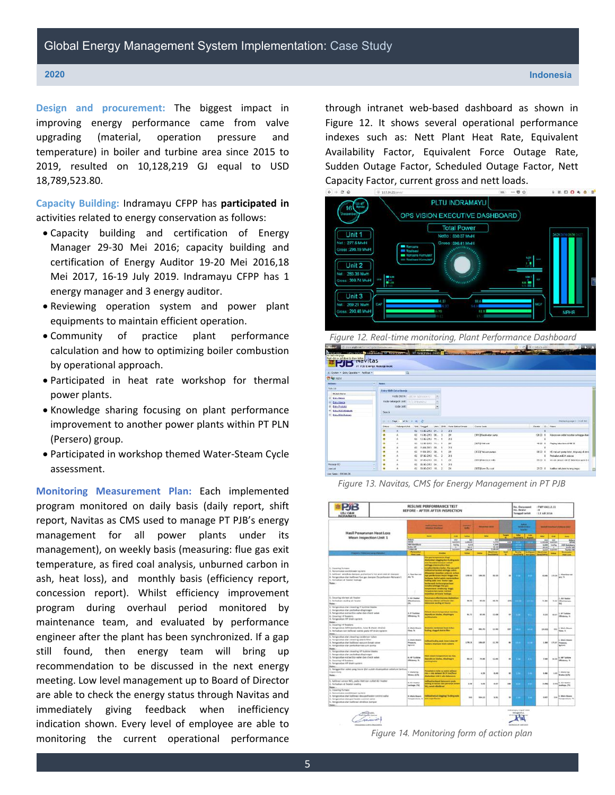**CONTRACTOR** 

**Design and procurement:** The biggest impact in improving energy performance came from valve upgrading (material, operation pressure and temperature) in boiler and turbine area since 2015 to 2019, resulted on 10,128,219 GJ equal to USD 18,789,523.80.

**Capacity Building:** Indramayu CFPP has **participated in** activities related to energy conservation as follows:

- Capacity building and certification of Energy Manager 29‐30 Mei 2016; capacity building and certification of Energy Auditor 19‐20 Mei 2016,18 Mei 2017, 16‐19 July 2019. Indramayu CFPP has 1 energy manager and 3 energy auditor.
- Reviewing operation system and power plant equipments to maintain efficient operation.
- Community of practice plant performance calculation and how to optimizing boiler combustion by operational approach.
- Participated in heat rate workshop for thermal power plants.
- Knowledge sharing focusing on plant performance improvement to another power plants within PT PLN (Persero) group.
- Participated in workshop themed Water‐Steam Cycle assessment.

**Monitoring Measurement Plan:** Each implemented program monitored on daily basis (daily report, shift report, Navitas as CMS used to manage PT PJB's energy management for all power plants under its management), on weekly basis (measuring: flue gas exit temperature, as fired coal analysis, unburned carbon in ash, heat loss), and monthly basis (efficiency report, concession report). Whilst efficiency improvement program during overhaul period monitored by maintenance team, and evaluated by performance engineer after the plant has been synchronized. If a gap still found, then energy team will bring up recommendation to be discussed in the next energy meeting. Low level management up to Board of Director are able to check the energy status through Navitas and immediately giving feedback when inefficiency indication shown. Every level of employee are able to monitoring the current operational performance

through intranet web‐based dashboard as shown in Figure 12. It shows several operational performance indexes such as: Nett Plant Heat Rate, Equivalent Availability Factor, Equivalent Force Outage Rate, Sudden Outage Factor, Scheduled Outage Factor, Nett Capacity Factor, current gross and nett loads.



 *Figure 12. Real-time monitoring, Plant Performance Dashboard*

| A: Skinen + Entry Operator + Northgan + |               | $\alpha$                                             |     |                         |   |                            |                        |                |                                             |
|-----------------------------------------|---------------|------------------------------------------------------|-----|-------------------------|---|----------------------------|------------------------|----------------|---------------------------------------------|
| The Legal of                            |               |                                                      |     |                         |   |                            |                        |                |                                             |
| m.<br><b>Actions</b>                    | <b>Hymna</b>  |                                                      |     |                         |   |                            |                        |                |                                             |
| Solida                                  |               |                                                      |     |                         |   |                            |                        |                |                                             |
| <b>Michile Name</b>                     |               | <b>Entry Shift Data Gascia</b>                       |     |                         |   |                            |                        |                |                                             |
| (d) brity thenes                        |               | FORD DEVICE AND IN TANGALLAYER                       |     |                         | ۰ |                            |                        |                |                                             |
| forchioca<br>$\alpha$                   |               | <b>Rocke Keelergack Class: Electronic Production</b> |     |                         |   |                            |                        |                |                                             |
| <b>B</b> bachaus                        |               | code unit:                                           |     |                         |   |                            |                        |                |                                             |
| G DOLSENMOUNE                           | <b>Secret</b> |                                                      |     |                         |   |                            |                        |                |                                             |
| (ii) Entry HCBH Dularean)               |               |                                                      |     |                         |   |                            |                        |                |                                             |
|                                         |               | Page 1   18 34   31   32   22                        |     |                         |   |                            |                        |                | Including page 1+11 of 252                  |
|                                         | <b>Chatus</b> | Halomeon Unit                                        |     | Unit: Tempel            |   | Jen Dhit Fork State Kingda | Cerre Corto            | Davis C. Notes |                                             |
|                                         |               |                                                      |     | 02 13-85-2213 01. 3 253 |   |                            |                        |                |                                             |
|                                         | ۰             |                                                      |     | 02 13-06-2013 00 3      |   | 70                         | IBMCI Feedwater ourse  | 12020 1        | Katooren outet tooster selenga diski        |
|                                         |               |                                                      |     | 65 12-30-2012 ML 1      |   | 218                        |                        |                |                                             |
|                                         |               |                                                      |     | 03 12-96-2012 11: 1     |   | 220                        | DON'T WHEN CORP.       | $-0.0011$      | Plasting Information of Hill DC             |
|                                         |               |                                                      |     | 02 11:05:203 00 1       |   | $-211$                     |                        |                |                                             |
|                                         | п             |                                                      | 65  | 11.06.2013 08: 1        |   | 220                        | EXTERNATION CONTINUES. | 4600.8         | Hill was any pump letter, interapyoint been |
|                                         | c             |                                                      |     | 02 37-85-2013 16 2      |   | 211                        |                        |                | Perbalan mil 2A salesa                      |
|                                         |               |                                                      | ec. | 27.35.2713 28 1         |   | 256                        | 1920 Of General rolls  | <b>MZD 8</b>   | nic ob derays oil 20 high bins open fire    |
| <b>Mecasqu 000</b>                      |               |                                                      |     | 02 05/00/2013 04: 1     |   | 218                        |                        |                |                                             |
| <b>Livercat</b>                         | ۰             |                                                      |     | 02 85-95-2012 06: 2     |   | 2%                         | ISSSEL ave Chu cost    |                | 25.00 E hardboot latubara kurang tagap      |



*Figure 13. Navitas, CMS for Energy Management in PT PJB*

| <b>UBJ OAM</b><br><b>INDRAMAYU</b>                                                                                                                                                                                                                      |                                                  | <b>RESUME PERFORMANCE TEST</b><br><b>BEFORE - AFTER AFTER INSPECTION</b>                                                                                                                                                                                                                                                                                                                                                                                                                                                                                                                    |               |                                                                                                                                                                                                                                                                                                                  |         |                | No. Decusyoned<br>No. Bandal<br><b>Tanggal terbit</b> |                     | (FMV-64.1.1.11)<br>$+18$<br>$-12$ kdi 2016                                                                     |                                            |                                                                                                                                                                                                                                                                      |  |
|---------------------------------------------------------------------------------------------------------------------------------------------------------------------------------------------------------------------------------------------------------|--------------------------------------------------|---------------------------------------------------------------------------------------------------------------------------------------------------------------------------------------------------------------------------------------------------------------------------------------------------------------------------------------------------------------------------------------------------------------------------------------------------------------------------------------------------------------------------------------------------------------------------------------------|---------------|------------------------------------------------------------------------------------------------------------------------------------------------------------------------------------------------------------------------------------------------------------------------------------------------------------------|---------|----------------|-------------------------------------------------------|---------------------|----------------------------------------------------------------------------------------------------------------|--------------------------------------------|----------------------------------------------------------------------------------------------------------------------------------------------------------------------------------------------------------------------------------------------------------------------|--|
| <b>Hasil Penurunan Heat Loss</b>                                                                                                                                                                                                                        |                                                  | <b><i>INVESTIGATION</i></b><br><b>Sidewall Standard</b>                                                                                                                                                                                                                                                                                                                                                                                                                                                                                                                                     | <b>Darks</b>  | <b><i><u>START START START OF GROUP</u></i></b><br>$\frac{1}{2} \left( \frac{1}{2} \right) \left( \frac{1}{2} \right)$<br><b>Talket</b><br>kis.<br>m<br>LAMJE<br>OW<br>CR61<br>6.644<br>石油<br>88.88<br><b>TERES</b><br><b>Last as</b><br><b>Base Long</b><br><b>SAKA</b><br><b>Safan</b><br><b>Lineal Powers</b> |         |                | <b>Advised</b><br><b>MARKET</b><br><b>Telechold</b>   |                     | <b>Montana Concertaint Communications</b>                                                                      |                                            |                                                                                                                                                                                                                                                                      |  |
| Mean Inspection Unit 1                                                                                                                                                                                                                                  |                                                  | <b>Based</b><br>-                                                                                                                                                                                                                                                                                                                                                                                                                                                                                                                                                                           |               |                                                                                                                                                                                                                                                                                                                  |         | Torget<br>٠    | -<br><b>SHANN</b>                                     | ▄                   | <b>HAV</b>                                                                                                     | <b>Show</b>                                | -                                                                                                                                                                                                                                                                    |  |
|                                                                                                                                                                                                                                                         | <b>Ballysia</b><br><b>MARK</b><br>over Rebokant  | <b>He</b><br>lasyken<br>trayly                                                                                                                                                                                                                                                                                                                                                                                                                                                                                                                                                              |               |                                                                                                                                                                                                                                                                                                                  |         | $\overline{1}$ |                                                       | <b>Service</b> pair | $rac{1}{2}$<br>Lith as<br>4,366<br>st.int<br><b>SANT</b><br><b>Hoof Lines</b><br><b>RANGERS LINES IN LINES</b> | <b>SER</b><br><b>Hall Free</b><br>testific | <b>Ballace</b><br><b>APRILE</b><br>Hill Reliabate                                                                                                                                                                                                                    |  |
|                                                                                                                                                                                                                                                         | <b>Earlier RM</b><br><b>Called Fill</b>          | ÷                                                                                                                                                                                                                                                                                                                                                                                                                                                                                                                                                                                           |               |                                                                                                                                                                                                                                                                                                                  |         | 2.75           |                                                       |                     |                                                                                                                | ×<br><b>Contract</b>                       | <b>Kolas 12</b><br><b>Turban PR</b>                                                                                                                                                                                                                                  |  |
| <b>Physical Chinese Last correct Markets</b>                                                                                                                                                                                                            | Forestero<br>Heat Look                           | <b>SIGNAL</b>                                                                                                                                                                                                                                                                                                                                                                                                                                                                                                                                                                               | 158.68        |                                                                                                                                                                                                                                                                                                                  |         | tsal<br>۰      | ▄                                                     |                     |                                                                                                                | <b>Value</b>                               | <b><i><u>Family College International College International College International College International College International College International College International College International College International College Intern</u></i></b><br><b>FRANCISCO</b> |  |
| 3. Ceasing furnace.<br>1. Percentalish socialiseer system.<br>1. Katilinasi 'wirishiai daniper, js./writer/s hot and cold all danger<br>A. Fergerotian dan kelbraal flue gas damper (Superhusion-Reheater)<br>5. Perturban al: Fereire leskage<br>Nate: | 1. Flow Next Ave.<br>AHL TC<br>٠                 | <b>This get largestation lines</b><br>Electroldian chapting door furching poets<br>also be restain eargros indical<br>withges electronical fact<br>researce shirebars before than pro park-<br>milkoat hurtunteko saminggo sakain<br>Massica's interfact pricers carbon<br>lags permits turner, largist himper press<br>buildings, build of adults membratched<br><b>Testing pode start benietyings</b><br><b>Incidental Estherangeus fost</b><br>the rule sales whereas<br><b>International and designed</b><br><b>Templers Have I and a description</b><br>experimes air furator leokaga. |               | 189.55                                                                                                                                                                                                                                                                                                           | 19.26   | in             |                                                       |                     | 46.00                                                                                                          | 170 SK                                     | 1. Fox fire cut<br>Art. Yr                                                                                                                                                                                                                                           |  |
| 1. Clearing starters at heater<br>2. Forbalteri stalling all house<br><b>Printer</b>                                                                                                                                                                    | <b>J. Air Heater</b><br><b>STANDARDS</b><br>ima. | fairceach a d'intinerum chadabhan<br><b>International designs ad Steater days</b><br>saturated day gettings answered                                                                                                                                                                                                                                                                                                                                                                                                                                                                        | $\frac{1}{2}$ | 69.88                                                                                                                                                                                                                                                                                                            | 46.74   | <b>HAL</b>     |                                                       |                     | 31.00                                                                                                          |                                            | E. Air Heater<br>the art Twitterstown and<br>w                                                                                                                                                                                                                       |  |
| 1. Perspeaken dan caesing 6 bolbite blades<br>2. Pergecelan dan perbakan diaphrapin<br>3. Perigo column antiquition valve dan check valve.<br>4. Ceasing in Leasers<br>3. Fangeriskan FIF drain nystere.<br><b>Note:</b>                                | 5. IF Turkins<br><b>Affinitency In</b>           | <b>Kahasat saya ne semperature tou kno.</b><br><b>Superfix no Inteles, alleghnights</b><br><b>Andrew Scotland</b>                                                                                                                                                                                                                                                                                                                                                                                                                                                                           | 86.75         | 97.95                                                                                                                                                                                                                                                                                                            | 33.06   | to:            |                                                       | ٠                   | 5.24                                                                                                           |                                            | War 3. If Taking<br><b>STANDARD</b>                                                                                                                                                                                                                                  |  |
| 1. Ocenny 14' heaters<br>1. Fengerskon HFIR (semarticin, tuto & sheet, rimina)<br>5. Perfusikan dan kalikuasi selem pada tili drain sydnem<br>Note:                                                                                                     | 4. Main Mayers<br><b>Flood To</b>                | Incessive constancer least, to had<br><b>Southern changed state to Phone</b>                                                                                                                                                                                                                                                                                                                                                                                                                                                                                                                | -             | 449.95                                                                                                                                                                                                                                                                                                           | 33.966  | 330            |                                                       | ×                   | 114,632                                                                                                        | sec.                                       | 4. Main House<br>Flore, In                                                                                                                                                                                                                                           |  |
| 1. Pergerollun dari zinaring conderner tubes<br>2. Pergecolusi dari citaring aldels blan<br>1. Pergecakan dan kalibrasi serusan broak yahan<br>A. Pergerakan dari perkulkan yanjuan jeung<br><b>from:</b>                                               | 6. Main Breers<br>Presencial.<br><b>Inchest</b>  | attack budge pade have tubes to:<br>tuniers, starters start system                                                                                                                                                                                                                                                                                                                                                                                                                                                                                                                          | 179.18        | 104.47                                                                                                                                                                                                                                                                                                           | 33.79   | $\blacksquare$ |                                                       |                     | 1.88                                                                                                           |                                            | 5. Middle Mount<br><b>CREW MISSION</b><br><b>Nazione</b> d                                                                                                                                                                                                           |  |
| 3. Pergerokan dari cisardig 1971L/kilor Maltis<br>3. Renamistan dan perbakan disatniam<br>3. Persecutary extraction we've dan check valve<br>8. Counting HP Existens<br>3. Perigecatus: HP 3040; custors<br><b>Parker</b>                               | a. or turking<br><b>UNIVERSITY, N.</b>           | <b>Main colors to requirement too find.</b><br><b>Standis of Intelse, disalinger</b><br><b>ventiling feature</b>                                                                                                                                                                                                                                                                                                                                                                                                                                                                            | $m + n$       | 70.00                                                                                                                                                                                                                                                                                                            | 14.44   | $\blacksquare$ | ×.                                                    | ×                   | 644                                                                                                            |                                            | <b>Milled</b> R. MF Tarking<br><b>UNICALIDADES</b>                                                                                                                                                                                                                   |  |
| 1. Fengandian solve yang tease \$50 suitab disensatium selectus bertru<br><b>Seabardard</b><br>Notes:                                                                                                                                                   | 2. Make Lip<br>Welch AVA                         | famalisis e croita no septer safatar<br><b>MS-ON MEMORY PR. FC MACRAIN</b><br><b>Marketinan Unit 1 adjointments</b>                                                                                                                                                                                                                                                                                                                                                                                                                                                                         | ×             | 4,35                                                                                                                                                                                                                                                                                                             | 5.48    | ×              | œ                                                     | ×                   | 5.84                                                                                                           |                                            | A.O. A. Marketing<br>Misker, It/All                                                                                                                                                                                                                                  |  |
| 1. Kaliforni service WD, praia VAH dan cultat Air Heater<br>2. Perfusions air berates sealing<br>Note:                                                                                                                                                  | <b>B. Air reaster</b><br>isakinga, 194           | older relevantel lateralized<br>mothing and theration: Most commitment, some<br>ally cartes affordance                                                                                                                                                                                                                                                                                                                                                                                                                                                                                      | 6.86          | 5.00                                                                                                                                                                                                                                                                                                             | 6.44    | 148            |                                                       |                     | 11,840                                                                                                         |                                            | <b>B-RAZ RAWWWW</b><br><b>Instrum (%)</b>                                                                                                                                                                                                                            |  |
| L. Cleaning Rumane<br>3. Percentakan modifikasir syklere<br>1. Peroprinkan dan kalibrasi desuasafwany curana saliye<br>A. Pengecetan desconteater control solve<br>3), Fergeistun dah kalbrasi windsox danyan<br>Neter                                  | 6. Michi Breach                                  | restimed test and always ap "fooding years<br>Teleparature, 12 sette superflavour                                                                                                                                                                                                                                                                                                                                                                                                                                                                                                           | 944           | 996.22                                                                                                                                                                                                                                                                                                           | to last | $\overline{1}$ |                                                       |                     | <b>GRE</b>                                                                                                     |                                            | tra <sup>3.</sup> Main Steam<br>Temperature, 12                                                                                                                                                                                                                      |  |

*Figure 14. Monitoring form of action plan*